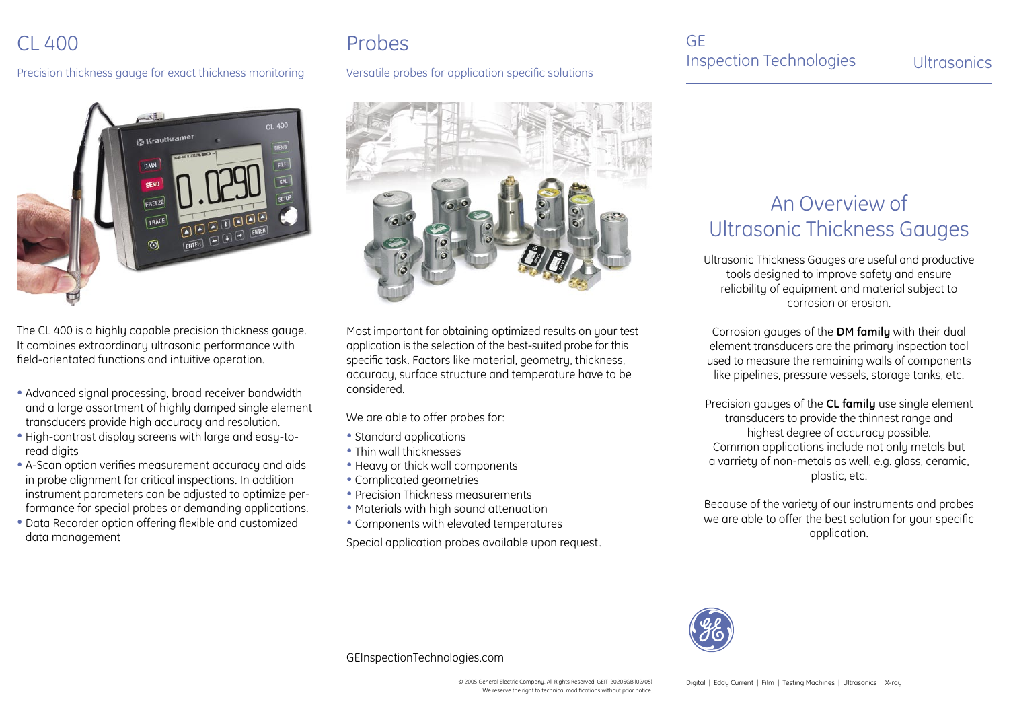### CL 400

Precision thickness gauge for exact thickness monitoring Versatile probes for application specific solutions



The CL 400 is a highly capable precision thickness gauge. It combines extraordinary ultrasonic performance with field-orientated functions and intuitive operation.

- Advanced signal processing, broad receiver bandwidth and a large assortment of highly damped single element transducers provide high accuracy and resolution.
- High-contrast display screens with large and easy-to read digits
- A-Scan option verifies measurement accuracy and aids in probe alignment for critical inspections. In addition instrument parameters can be adjusted to optimize per formance for special probes or demanding applications.
- Data Recorder option offering flexible and customized data management

# Probes



Most important for obtaining optimized results on your test application is the selection of the best-suited probe for this specific task. Factors like material, geometry, thickness, accuracy, surface structure and temperature have to be considered.

We are able to offer probes for:

- Standard applications
- Thin wall thicknesses
- Heavy or thick wall components
- Complicated geometries
- Precision Thickness measurements
- Materials with high sound attenuation
- Components with elevated temperatures

Special application probes available upon request.

### GE Inspection Technologies Ultrasonics

## An Overview of Ultrasonic Thickness Gauges

Ultrasonic Thickness Gauges are useful and productive tools designed to improve safety and ensure reliability of equipment and material subject to corrosion or erosion.

Corrosion gauges of the **DM family** with their dual element transducers are the primary inspection tool used to measure the remaining walls of components like pipelines, pressure vessels, storage tanks, etc.

Precision gauges of the **CL family** use single element transducers to provide the thinnest range and highest degree of accuracy possible. Common applications include not only metals but a varriety of non-metals as well, e.g. glass, ceramic, plastic, etc.

Because of the variety of our instruments and probes we are able to offer the best solution for your specific application.



GEInspectionTechnologies.com